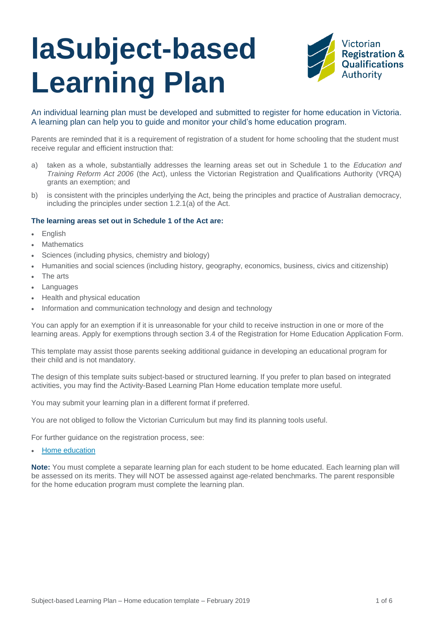# **laSubject-based Learning Plan**



An individual learning plan must be developed and submitted to register for home education in Victoria. A learning plan can help you to guide and monitor your child's home education program.

Parents are reminded that it is a requirement of registration of a student for home schooling that the student must receive regular and efficient instruction that:

- a) taken as a whole, substantially addresses the learning areas set out in Schedule 1 to the *Education and Training Reform Act 2006* (the Act), unless the Victorian Registration and Qualifications Authority (VRQA) grants an exemption; and
- b) is consistent with the principles underlying the Act, being the principles and practice of Australian democracy, including the principles under section 1.2.1(a) of the Act.

#### **The learning areas set out in Schedule 1 of the Act are:**

- English
- **Mathematics**
- Sciences (including physics, chemistry and biology)
- Humanities and social sciences (including history, geography, economics, business, civics and citizenship)
- The arts
- **Languages**
- Health and physical education
- Information and communication technology and design and technology

You can apply for an exemption if it is unreasonable for your child to receive instruction in one or more of the learning areas. Apply for exemptions through section 3.4 of the Registration for Home Education Application Form.

This template may assist those parents seeking additional guidance in developing an educational program for their child and is not mandatory.

The design of this template suits subject-based or structured learning. If you prefer to plan based on integrated activities, you may find the Activity-Based Learning Plan Home education template more useful.

You may submit your learning plan in a different format if preferred.

You are not obliged to follow the [Victorian Curriculum](http://victoriancurriculum.vcaa.vic.edu.au/) but may find its [planning tools](http://curriculumplanning.vcaa.vic.edu.au/home) useful.

For further guidance on the registration process, see:

[Home education](https://www.vrqa.vic.gov.au/home/Pages/homeeducation.aspx)

**Note:** You must complete a separate learning plan for each student to be home educated. Each learning plan will be assessed on its merits. They will NOT be assessed against age-related benchmarks. The parent responsible for the home education program must complete the learning plan.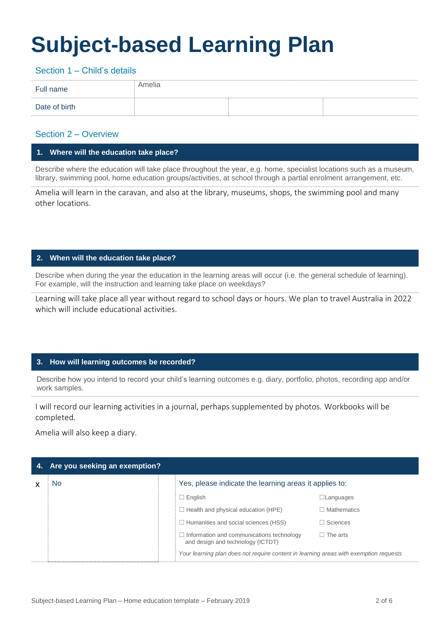# **Subject-based Learning Plan**

Section 1 – Child's details

| Full name     | Amelia |  |
|---------------|--------|--|
| Date of birth |        |  |

# Section 2 – Overview

### **1. Where will the education take place?**

Describe where the education will take place throughout the year, e.g. home, specialist locations such as a museum, library, swimming pool, home education groups/activities, at school through a partial enrolment arrangement, etc.

Amelia will learn in the caravan, and also at the library, museums, shops, the swimming pool and many other locations.

# **2. When will the education take place?**

Describe when during the year the education in the learning areas will occur (i.e. the general schedule of learning). For example, will the instruction and learning take place on weekdays?

Learning will take place all year without regard to school days or hours. We plan to travel Australia in 2022 which will include educational activities.

# **3. How will learning outcomes be recorded?**

**4.** Describe how you intend to record your child's learning outcomes e.g. diary, portfolio, photos, recording app and/or work samples.

I will record our learning activities in a journal, perhaps supplemented by photos. Workbooks will be completed.

Amelia will also keep a diary.

| 4. Are you seeking an exemption? |                                                                                       |                    |  |
|----------------------------------|---------------------------------------------------------------------------------------|--------------------|--|
| No                               | Yes, please indicate the learning areas it applies to:                                |                    |  |
|                                  | $\Box$ English                                                                        | $\Box$ Languages   |  |
|                                  | $\Box$ Health and physical education (HPE)                                            | $\Box$ Mathematics |  |
|                                  | $\Box$ Humanities and social sciences (HSS)                                           | $\Box$ Sciences    |  |
|                                  | $\Box$ Information and communications technology<br>and design and technology (ICTDT) | $\Box$ The arts    |  |
|                                  | Your learning plan does not require content in learning areas with exemption requests |                    |  |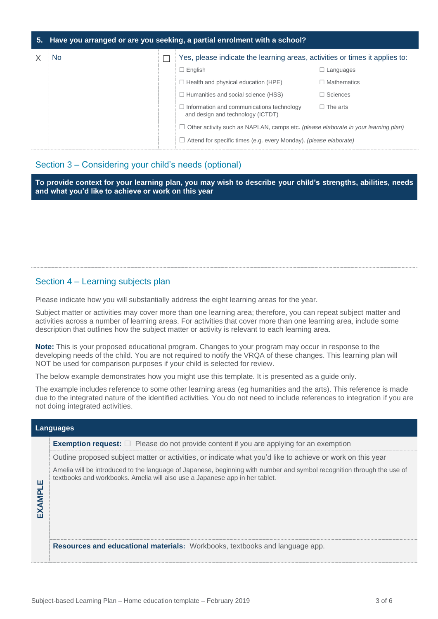#### **5. Have you arranged or are you seeking, a partial enrolment with a school?**

| No. |  | Yes, please indicate the learning areas, activities or times it applies to:                                                                             |                    |
|-----|--|---------------------------------------------------------------------------------------------------------------------------------------------------------|--------------------|
|     |  | $\Box$ English                                                                                                                                          | $\Box$ Languages   |
|     |  | $\Box$ Health and physical education (HPE)                                                                                                              | $\Box$ Mathematics |
|     |  | $\Box$ Humanities and social science (HSS)                                                                                                              | $\Box$ Sciences    |
|     |  | $\Box$ Information and communications technology<br>and design and technology (ICTDT)                                                                   | $\Box$ The arts    |
|     |  | Other activity such as NAPLAN, camps etc. (please elaborate in your learning plan)<br>Attend for specific times (e.g. every Monday). (please elaborate) |                    |
|     |  |                                                                                                                                                         |                    |

# Section 3 – Considering your child's needs (optional)

**To provide context for your learning plan, you may wish to describe your child's strengths, abilities, needs and what you'd like to achieve or work on this year**

# Section 4 – Learning subjects plan

Please indicate how you will substantially address the eight learning areas for the year.

Subject matter or activities may cover more than one learning area; therefore, you can repeat subject matter and activities across a number of learning areas. For activities that cover more than one learning area, include some description that outlines how the subject matter or activity is relevant to each learning area.

**Note:** This is your proposed educational program. Changes to your program may occur in response to the developing needs of the child. You are not required to notify the VRQA of these changes. This learning plan will NOT be used for comparison purposes if your child is selected for review.

The below example demonstrates how you might use this template. It is presented as a guide only.

The example includes reference to some other learning areas (eg humanities and the arts). This reference is made due to the integrated nature of the identified activities. You do not need to include references to integration if you are not doing integrated activities.

| Languages                       |                                                                                                                                                                                                       |  |  |  |
|---------------------------------|-------------------------------------------------------------------------------------------------------------------------------------------------------------------------------------------------------|--|--|--|
|                                 | <b>Exemption request:</b> $\Box$ Please do not provide content if you are applying for an exemption                                                                                                   |  |  |  |
|                                 | Outline proposed subject matter or activities, or indicate what you'd like to achieve or work on this year                                                                                            |  |  |  |
| ш<br><b>AMP</b><br>$\mathsf{K}$ | Amelia will be introduced to the language of Japanese, beginning with number and symbol recognition through the use of<br>textbooks and workbooks. Amelia will also use a Japanese app in her tablet. |  |  |  |
|                                 | Resources and educational materials: Workbooks, textbooks and language app.                                                                                                                           |  |  |  |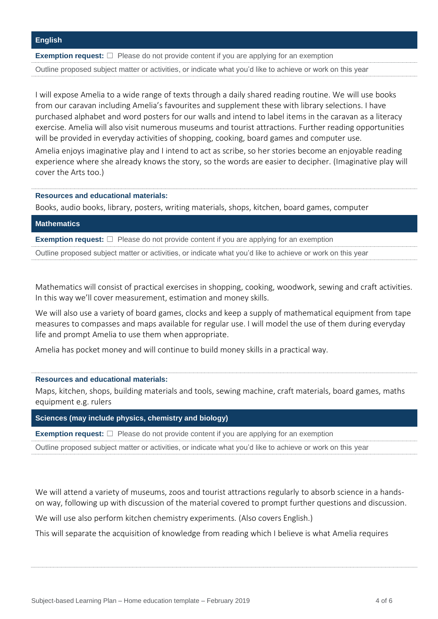**Exemption request:** □ Please do not provide content if you are applying for an exemption

Outline proposed subject matter or activities, or indicate what you'd like to achieve or work on this year

I will expose Amelia to a wide range of texts through a daily shared reading routine. We will use books from our caravan including Amelia's favourites and supplement these with library selections. I have purchased alphabet and word posters for our walls and intend to label items in the caravan as a literacy exercise. Amelia will also visit numerous museums and tourist attractions. Further reading opportunities will be provided in everyday activities of shopping, cooking, board games and computer use.

Amelia enjoys imaginative play and I intend to act as scribe, so her stories become an enjoyable reading experience where she already knows the story, so the words are easier to decipher. (Imaginative play will cover the Arts too.)

**Resources and educational materials:** 

Books, audio books, library, posters, writing materials, shops, kitchen, board games, computer

#### **Mathematics**

**Exemption request:** □ Please do not provide content if you are applying for an exemption

Outline proposed subject matter or activities, or indicate what you'd like to achieve or work on this year

Mathematics will consist of practical exercises in shopping, cooking, woodwork, sewing and craft activities. In this way we'll cover measurement, estimation and money skills.

We will also use a variety of board games, clocks and keep a supply of mathematical equipment from tape measures to compasses and maps available for regular use. I will model the use of them during everyday life and prompt Amelia to use them when appropriate.

Amelia has pocket money and will continue to build money skills in a practical way.

#### **Resources and educational materials:**

Maps, kitchen, shops, building materials and tools, sewing machine, craft materials, board games, maths equipment e.g. rulers

**Sciences (may include physics, chemistry and biology)**

**Exemption request:** □ Please do not provide content if you are applying for an exemption

Outline proposed subject matter or activities, or indicate what you'd like to achieve or work on this year

We will attend a variety of museums, zoos and tourist attractions regularly to absorb science in a handson way, following up with discussion of the material covered to prompt further questions and discussion.

We will use also perform kitchen chemistry experiments. (Also covers English.)

This will separate the acquisition of knowledge from reading which I believe is what Amelia requires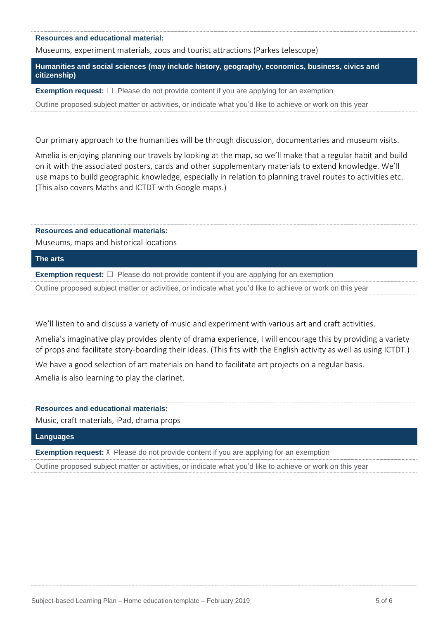#### **Resources and educational material:**

Museums, experiment materials, zoos and tourist attractions (Parkes telescope)

**Humanities and social sciences (may include history, geography, economics, business, civics and citizenship)**

**Exemption request:** □ Please do not provide content if you are applying for an exemption

Outline proposed subject matter or activities, or indicate what you'd like to achieve or work on this year

Our primary approach to the humanities will be through discussion, documentaries and museum visits.

Amelia is enjoying planning our travels by looking at the map, so we'll make that a regular habit and build on it with the associated posters, cards and other supplementary materials to extend knowledge. We'll use maps to build geographic knowledge, especially in relation to planning travel routes to activities etc. (This also covers Maths and ICTDT with Google maps.)

#### **Resources and educational materials:**

Museums, maps and historical locations

#### **The arts**

**Exemption request:** □ Please do not provide content if you are applying for an exemption

Outline proposed subject matter or activities, or indicate what you'd like to achieve or work on this year

We'll listen to and discuss a variety of music and experiment with various art and craft activities.

Amelia's imaginative play provides plenty of drama experience, I will encourage this by providing a variety of props and facilitate story-boarding their ideas. (This fits with the English activity as well as using ICTDT.)

We have a good selection of art materials on hand to facilitate art projects on a regular basis. Amelia is also learning to play the clarinet.

#### **Resources and educational materials:**

Music, craft materials, iPad, drama props

#### **Languages**

**Exemption request:** X Please do not provide content if you are applying for an exemption

Outline proposed subject matter or activities, or indicate what you'd like to achieve or work on this year